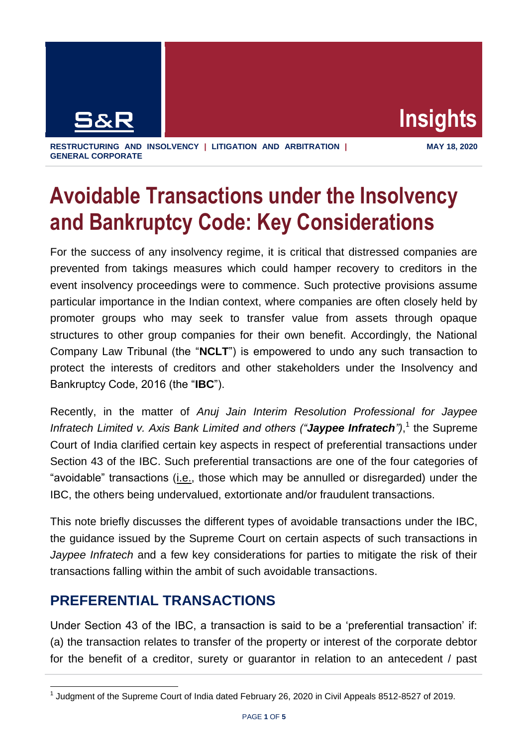

**RESTRUCTURING AND INSOLVENCY | LITIGATION AND ARBITRATION | GENERAL CORPORATE**

# **Avoidable Transactions under the Insolvency and Bankruptcy Code: Key Considerations**

For the success of any insolvency regime, it is critical that distressed companies are prevented from takings measures which could hamper recovery to creditors in the event insolvency proceedings were to commence. Such protective provisions assume particular importance in the Indian context, where companies are often closely held by promoter groups who may seek to transfer value from assets through opaque structures to other group companies for their own benefit. Accordingly, the National Company Law Tribunal (the "**NCLT**") is empowered to undo any such transaction to protect the interests of creditors and other stakeholders under the Insolvency and Bankruptcy Code, 2016 (the "**IBC**").

Recently, in the matter of *Anuj Jain Interim Resolution Professional for Jaypee Infratech Limited v. Axis Bank Limited and others ("Jaypee Infratech")*, 1 the Supreme Court of India clarified certain key aspects in respect of preferential transactions under Section 43 of the IBC. Such preferential transactions are one of the four categories of "avoidable" transactions (i.e., those which may be annulled or disregarded) under the IBC, the others being undervalued, extortionate and/or fraudulent transactions.

This note briefly discusses the different types of avoidable transactions under the IBC, the guidance issued by the Supreme Court on certain aspects of such transactions in *Jaypee Infratech* and a few key considerations for parties to mitigate the risk of their transactions falling within the ambit of such avoidable transactions.

#### **PREFERENTIAL TRANSACTIONS**

Under Section 43 of the IBC, a transaction is said to be a 'preferential transaction' if: (a) the transaction relates to transfer of the property or interest of the corporate debtor for the benefit of a creditor, surety or guarantor in relation to an antecedent / past

 $\overline{1}$  $<sup>1</sup>$  Judgment of the Supreme Court of India dated February 26, 2020 in Civil Appeals 8512-8527 of 2019.</sup>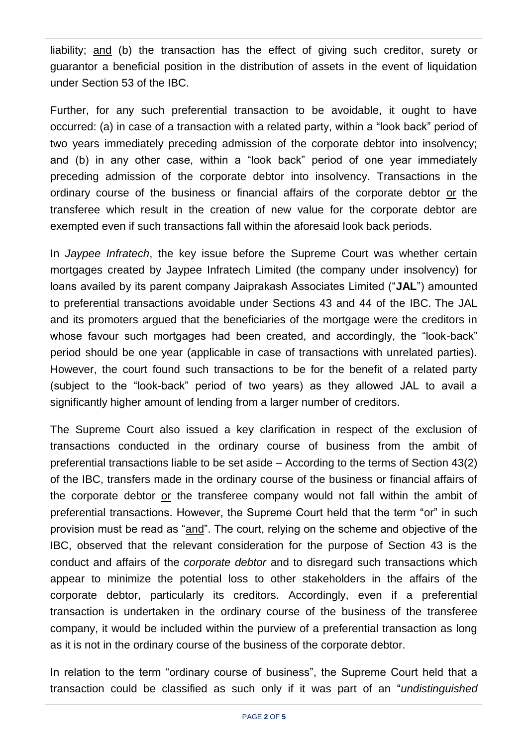liability; and (b) the transaction has the effect of giving such creditor, surety or guarantor a beneficial position in the distribution of assets in the event of liquidation under Section 53 of the IBC.

Further, for any such preferential transaction to be avoidable, it ought to have occurred: (a) in case of a transaction with a related party, within a "look back" period of two years immediately preceding admission of the corporate debtor into insolvency; and (b) in any other case, within a "look back" period of one year immediately preceding admission of the corporate debtor into insolvency. Transactions in the ordinary course of the business or financial affairs of the corporate debtor or the transferee which result in the creation of new value for the corporate debtor are exempted even if such transactions fall within the aforesaid look back periods.

In *Jaypee Infratech*, the key issue before the Supreme Court was whether certain mortgages created by Jaypee Infratech Limited (the company under insolvency) for loans availed by its parent company Jaiprakash Associates Limited ("**JAL**") amounted to preferential transactions avoidable under Sections 43 and 44 of the IBC. The JAL and its promoters argued that the beneficiaries of the mortgage were the creditors in whose favour such mortgages had been created, and accordingly, the "look-back" period should be one year (applicable in case of transactions with unrelated parties). However, the court found such transactions to be for the benefit of a related party (subject to the "look-back" period of two years) as they allowed JAL to avail a significantly higher amount of lending from a larger number of creditors.

The Supreme Court also issued a key clarification in respect of the exclusion of transactions conducted in the ordinary course of business from the ambit of preferential transactions liable to be set aside – According to the terms of Section 43(2) of the IBC, transfers made in the ordinary course of the business or financial affairs of the corporate debtor or the transferee company would not fall within the ambit of preferential transactions. However, the Supreme Court held that the term "or" in such provision must be read as "and". The court, relying on the scheme and objective of the IBC, observed that the relevant consideration for the purpose of Section 43 is the conduct and affairs of the *corporate debtor* and to disregard such transactions which appear to minimize the potential loss to other stakeholders in the affairs of the corporate debtor, particularly its creditors. Accordingly, even if a preferential transaction is undertaken in the ordinary course of the business of the transferee company, it would be included within the purview of a preferential transaction as long as it is not in the ordinary course of the business of the corporate debtor.

In relation to the term "ordinary course of business", the Supreme Court held that a transaction could be classified as such only if it was part of an "*undistinguished*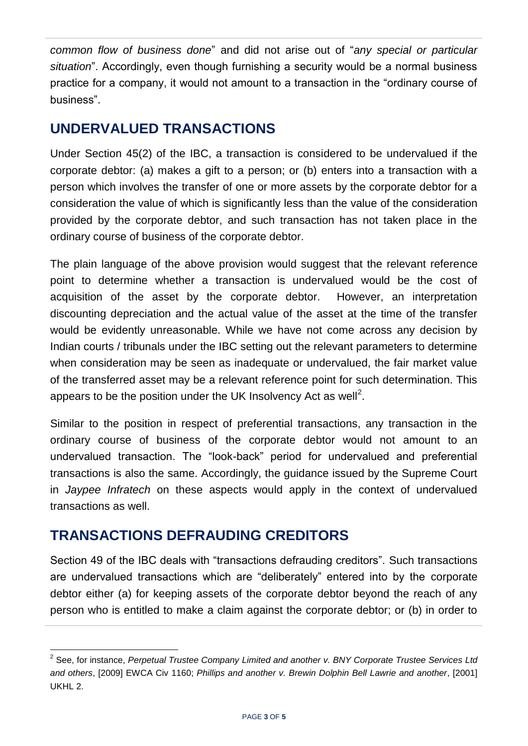*common flow of business done*" and did not arise out of "*any special or particular situation*". Accordingly, even though furnishing a security would be a normal business practice for a company, it would not amount to a transaction in the "ordinary course of business".

## **UNDERVALUED TRANSACTIONS**

Under Section 45(2) of the IBC, a transaction is considered to be undervalued if the corporate debtor: (a) makes a gift to a person; or (b) enters into a transaction with a person which involves the transfer of one or more assets by the corporate debtor for a consideration the value of which is significantly less than the value of the consideration provided by the corporate debtor, and such transaction has not taken place in the ordinary course of business of the corporate debtor.

The plain language of the above provision would suggest that the relevant reference point to determine whether a transaction is undervalued would be the cost of acquisition of the asset by the corporate debtor. However, an interpretation discounting depreciation and the actual value of the asset at the time of the transfer would be evidently unreasonable. While we have not come across any decision by Indian courts / tribunals under the IBC setting out the relevant parameters to determine when consideration may be seen as inadequate or undervalued, the fair market value of the transferred asset may be a relevant reference point for such determination. This appears to be the position under the UK Insolvency Act as well<sup>2</sup>.

Similar to the position in respect of preferential transactions, any transaction in the ordinary course of business of the corporate debtor would not amount to an undervalued transaction. The "look-back" period for undervalued and preferential transactions is also the same. Accordingly, the guidance issued by the Supreme Court in *Jaypee Infratech* on these aspects would apply in the context of undervalued transactions as well.

#### **TRANSACTIONS DEFRAUDING CREDITORS**

Section 49 of the IBC deals with "transactions defrauding creditors". Such transactions are undervalued transactions which are "deliberately" entered into by the corporate debtor either (a) for keeping assets of the corporate debtor beyond the reach of any person who is entitled to make a claim against the corporate debtor; or (b) in order to

 2 See, for instance, *Perpetual Trustee Company Limited and another v. BNY Corporate Trustee Services Ltd and others*, [2009] EWCA Civ 1160; *Phillips and another v. Brewin Dolphin Bell Lawrie and another*, [2001] UKHL 2.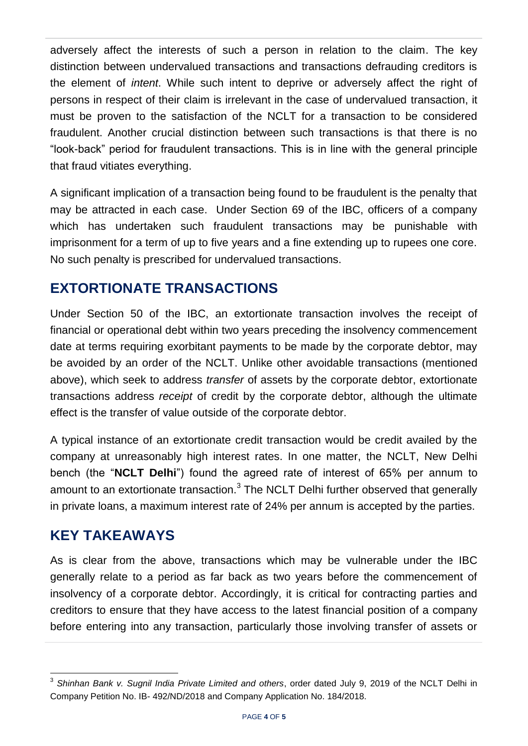adversely affect the interests of such a person in relation to the claim. The key distinction between undervalued transactions and transactions defrauding creditors is the element of *intent*. While such intent to deprive or adversely affect the right of persons in respect of their claim is irrelevant in the case of undervalued transaction, it must be proven to the satisfaction of the NCLT for a transaction to be considered fraudulent. Another crucial distinction between such transactions is that there is no "look-back" period for fraudulent transactions. This is in line with the general principle that fraud vitiates everything.

A significant implication of a transaction being found to be fraudulent is the penalty that may be attracted in each case. Under Section 69 of the IBC, officers of a company which has undertaken such fraudulent transactions may be punishable with imprisonment for a term of up to five years and a fine extending up to rupees one core. No such penalty is prescribed for undervalued transactions.

### **EXTORTIONATE TRANSACTIONS**

Under Section 50 of the IBC, an extortionate transaction involves the receipt of financial or operational debt within two years preceding the insolvency commencement date at terms requiring exorbitant payments to be made by the corporate debtor, may be avoided by an order of the NCLT. Unlike other avoidable transactions (mentioned above), which seek to address *transfer* of assets by the corporate debtor, extortionate transactions address *receipt* of credit by the corporate debtor, although the ultimate effect is the transfer of value outside of the corporate debtor.

A typical instance of an extortionate credit transaction would be credit availed by the company at unreasonably high interest rates. In one matter, the NCLT, New Delhi bench (the "**NCLT Delhi**") found the agreed rate of interest of 65% per annum to amount to an extortionate transaction. $3$  The NCLT Delhi further observed that generally in private loans, a maximum interest rate of 24% per annum is accepted by the parties.

## **KEY TAKEAWAYS**

As is clear from the above, transactions which may be vulnerable under the IBC generally relate to a period as far back as two years before the commencement of insolvency of a corporate debtor. Accordingly, it is critical for contracting parties and creditors to ensure that they have access to the latest financial position of a company before entering into any transaction, particularly those involving transfer of assets or

 $\overline{a}$ 3 *Shinhan Bank v. Sugnil India Private Limited and others*, order dated July 9, 2019 of the NCLT Delhi in Company Petition No. IB- 492/ND/2018 and Company Application No. 184/2018.